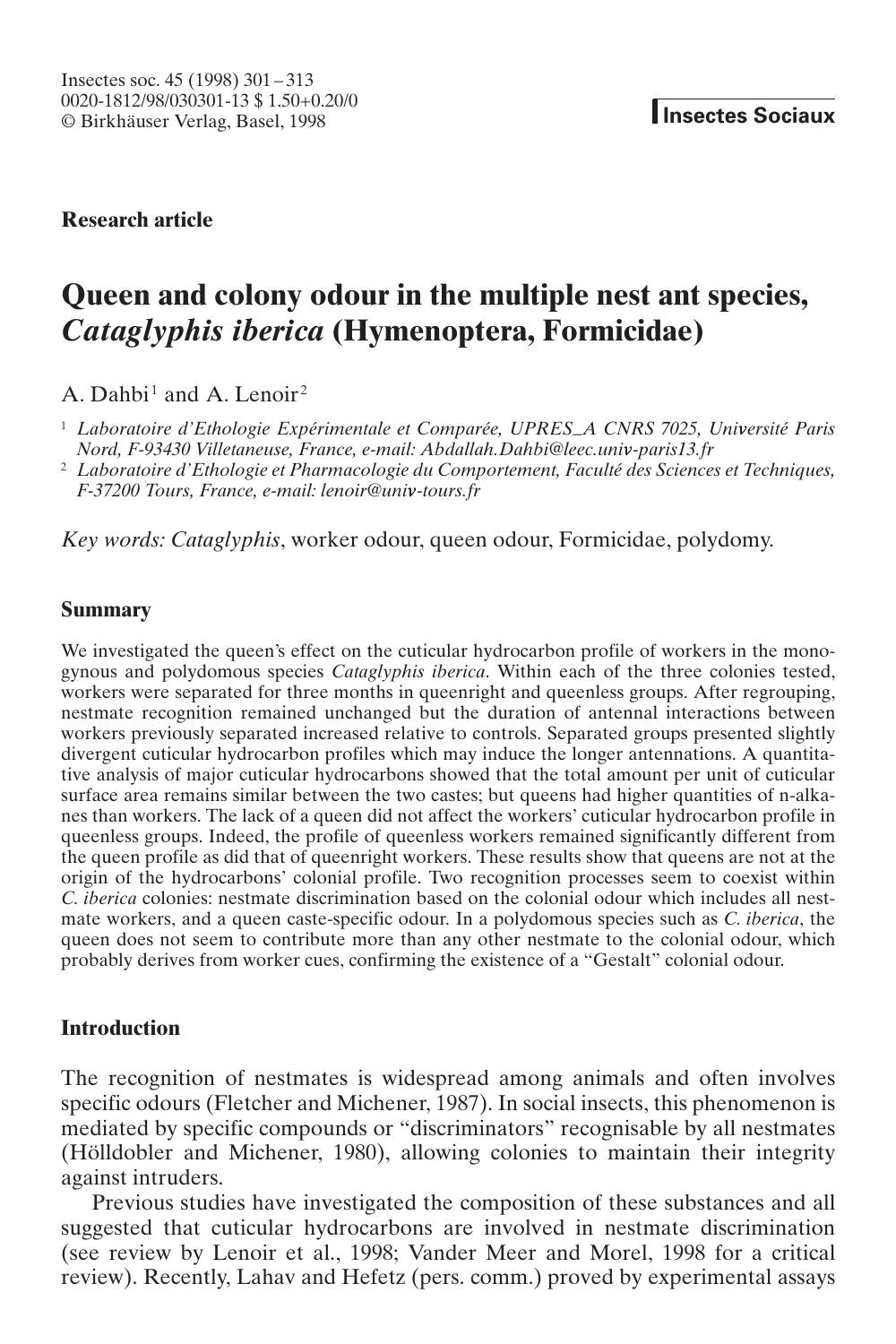# **Research article**

# **Queen and colony odour in the multiple nest ant species,** *Cataglyphis iberica* **(Hymenoptera, Formicidae)**

A. Dahbi<sup>1</sup> and A. Lenoir<sup>2</sup>

<sup>1</sup> *Laboratoire d'Ethologie Expérimentale et Comparée, UPRES*–*A CNRS 7025, Université Paris Nord, F-93430 Villetaneuse, France, e-mail: Abdallah.Dahbi@leec.univ-paris13.fr*

<sup>2</sup> *Laboratoire d'Ethologie et Pharmacologie du Comportement, Faculté des Sciences et Techniques, F-37200 Tours, France, e-mail: lenoir@univ-tours.fr*

*Key words: Cataglyphis*, worker odour, queen odour, Formicidae, polydomy.

### **Summary**

We investigated the queen's effect on the cuticular hydrocarbon profile of workers in the monogynous and polydomous species *Cataglyphis iberica*. Within each of the three colonies tested, workers were separated for three months in queenright and queenless groups. After regrouping, nestmate recognition remained unchanged but the duration of antennal interactions between workers previously separated increased relative to controls. Separated groups presented slightly divergent cuticular hydrocarbon profiles which may induce the longer antennations. A quantitative analysis of major cuticular hydrocarbons showed that the total amount per unit of cuticular surface area remains similar between the two castes; but queens had higher quantities of n-alkanes than workers. The lack of a queen did not affect the workers' cuticular hydrocarbon profile in queenless groups. Indeed, the profile of queenless workers remained significantly different from the queen profile as did that of queenright workers. These results show that queens are not at the origin of the hydrocarbons' colonial profile. Two recognition processes seem to coexist within *C. iberica* colonies: nestmate discrimination based on the colonial odour which includes all nestmate workers, and a queen caste-specific odour. In a polydomous species such as *C. iberica*, the queen does not seem to contribute more than any other nestmate to the colonial odour, which probably derives from worker cues, confirming the existence of a "Gestalt" colonial odour.

## **Introduction**

The recognition of nestmates is widespread among animals and often involves specific odours (Fletcher and Michener, 1987). In social insects, this phenomenon is mediated by specific compounds or "discriminators" recognisable by all nestmates (Hölldobler and Michener, 1980), allowing colonies to maintain their integrity against intruders.

Previous studies have investigated the composition of these substances and all suggested that cuticular hydrocarbons are involved in nestmate discrimination (see review by Lenoir et al., 1998; Vander Meer and Morel, 1998 for a critical review). Recently, Lahav and Hefetz (pers. comm.) proved by experimental assays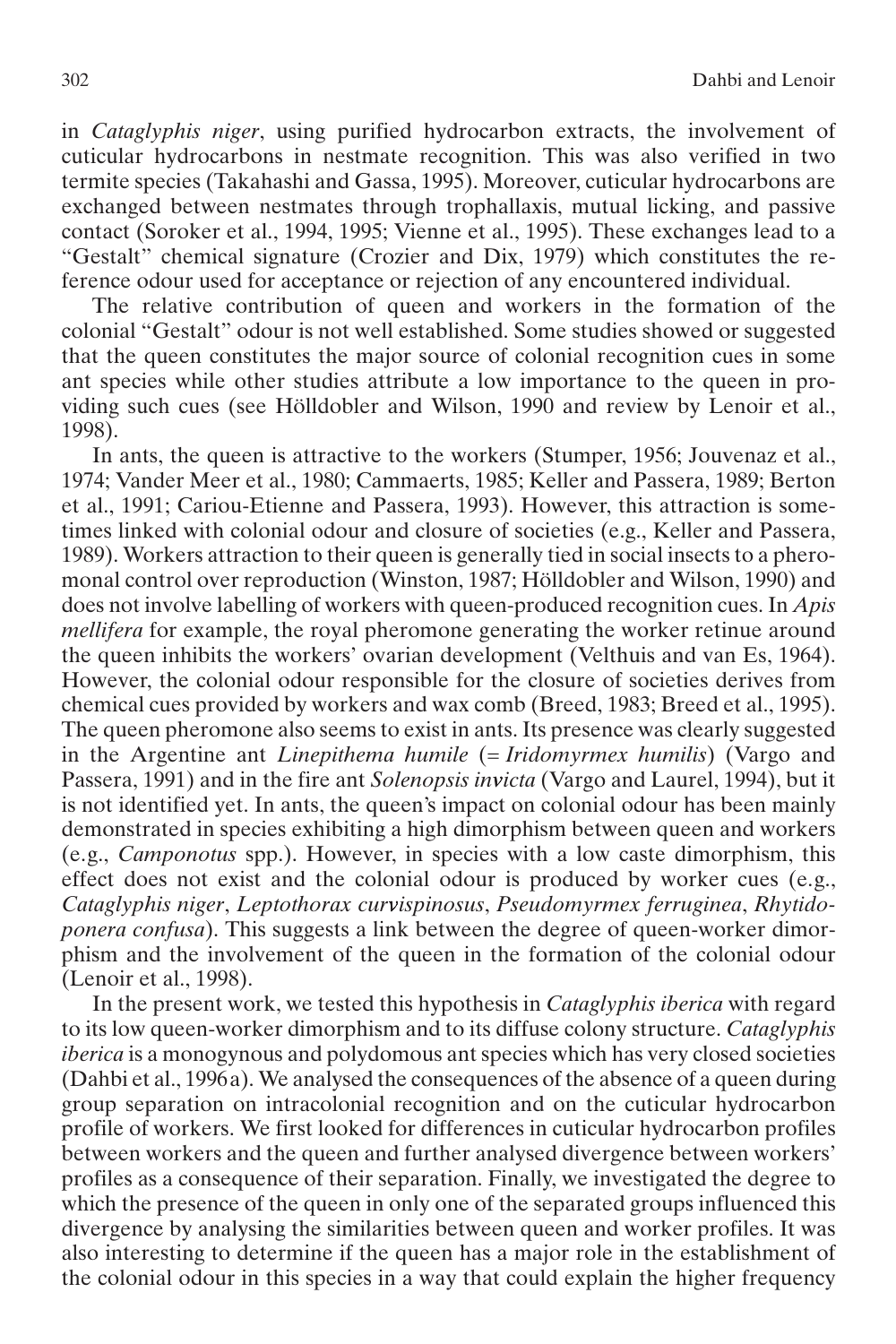in *Cataglyphis niger*, using purified hydrocarbon extracts, the involvement of cuticular hydrocarbons in nestmate recognition. This was also verified in two termite species (Takahashi and Gassa, 1995). Moreover, cuticular hydrocarbons are exchanged between nestmates through trophallaxis, mutual licking, and passive contact (Soroker et al., 1994, 1995; Vienne et al., 1995). These exchanges lead to a "Gestalt" chemical signature (Crozier and Dix, 1979) which constitutes the reference odour used for acceptance or rejection of any encountered individual.

The relative contribution of queen and workers in the formation of the colonial "Gestalt" odour is not well established. Some studies showed or suggested that the queen constitutes the major source of colonial recognition cues in some ant species while other studies attribute a low importance to the queen in providing such cues (see Hölldobler and Wilson, 1990 and review by Lenoir et al., 1998).

In ants, the queen is attractive to the workers (Stumper, 1956; Jouvenaz et al., 1974; Vander Meer et al., 1980; Cammaerts, 1985; Keller and Passera, 1989; Berton et al., 1991; Cariou-Etienne and Passera, 1993). However, this attraction is sometimes linked with colonial odour and closure of societies (e.g., Keller and Passera, 1989). Workers attraction to their queen is generally tied in social insects to a pheromonal control over reproduction (Winston, 1987; Hölldobler and Wilson, 1990) and does not involve labelling of workers with queen-produced recognition cues. In *Apis mellifera* for example, the royal pheromone generating the worker retinue around the queen inhibits the workers' ovarian development (Velthuis and van Es, 1964). However, the colonial odour responsible for the closure of societies derives from chemical cues provided by workers and wax comb (Breed, 1983; Breed et al., 1995). The queen pheromone also seems to exist in ants. Its presence was clearly suggested in the Argentine ant *Linepithema humile* (= *Iridomyrmex humilis*) (Vargo and Passera, 1991) and in the fire ant *Solenopsis invicta* (Vargo and Laurel, 1994), but it is not identified yet. In ants, the queen's impact on colonial odour has been mainly demonstrated in species exhibiting a high dimorphism between queen and workers (e.g., *Camponotus* spp.). However, in species with a low caste dimorphism, this effect does not exist and the colonial odour is produced by worker cues (e.g., *Cataglyphis niger*, *Leptothorax curvispinosus*, *Pseudomyrmex ferruginea*, *Rhytidoponera confusa*). This suggests a link between the degree of queen-worker dimorphism and the involvement of the queen in the formation of the colonial odour (Lenoir et al., 1998).

In the present work, we tested this hypothesis in *Cataglyphis iberica* with regard to its low queen-worker dimorphism and to its diffuse colony structure. *Cataglyphis iberica* is a monogynous and polydomous ant species which has very closed societies (Dahbi et al., 1996a). We analysed the consequences of the absence of a queen during group separation on intracolonial recognition and on the cuticular hydrocarbon profile of workers. We first looked for differences in cuticular hydrocarbon profiles between workers and the queen and further analysed divergence between workers' profiles as a consequence of their separation. Finally, we investigated the degree to which the presence of the queen in only one of the separated groups influenced this divergence by analysing the similarities between queen and worker profiles. It was also interesting to determine if the queen has a major role in the establishment of the colonial odour in this species in a way that could explain the higher frequency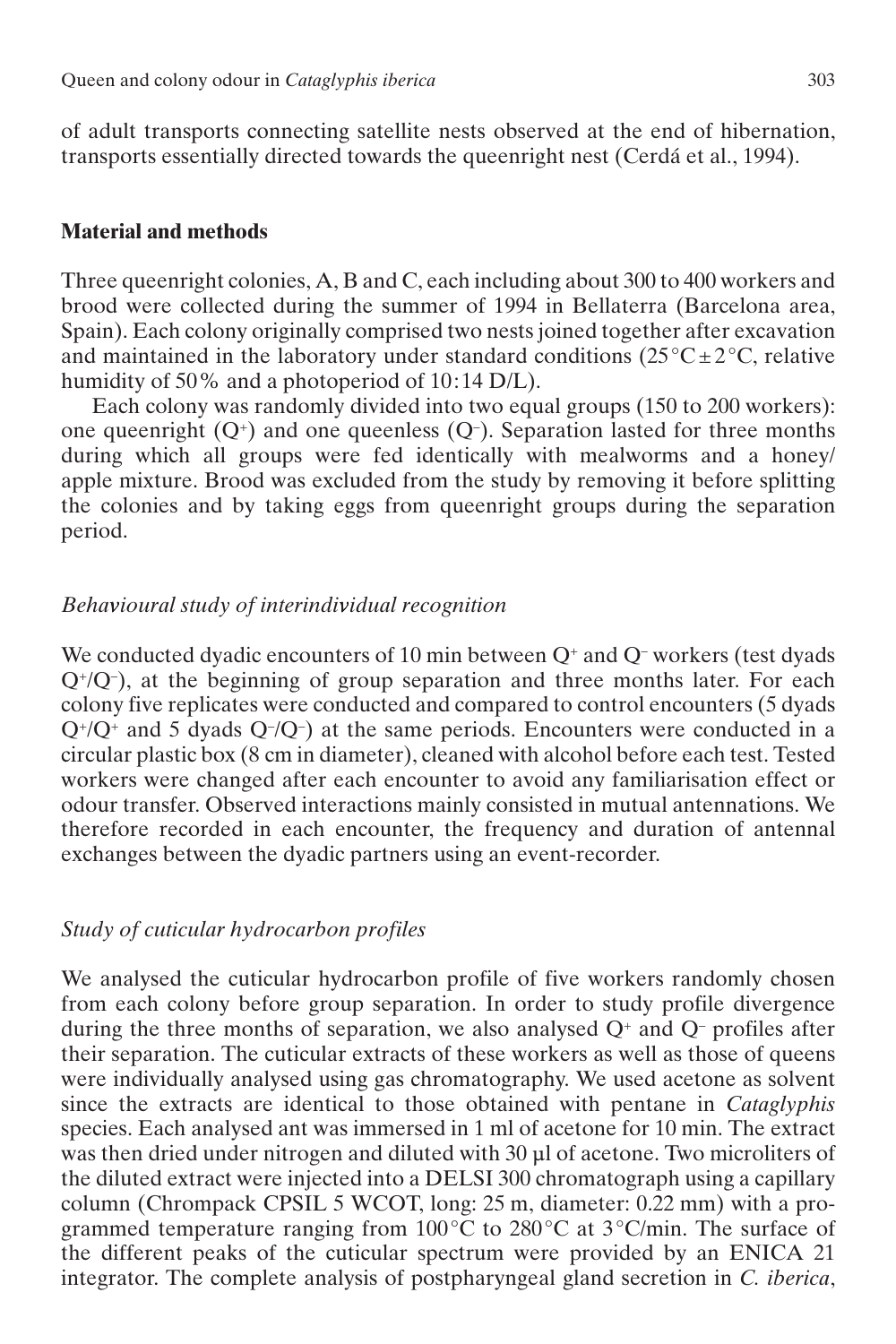of adult transports connecting satellite nests observed at the end of hibernation, transports essentially directed towards the queenright nest (Cerdá et al., 1994).

# **Material and methods**

Three queenright colonies, A, B and C, each including about 300 to 400 workers and brood were collected during the summer of 1994 in Bellaterra (Barcelona area, Spain). Each colony originally comprised two nests joined together after excavation and maintained in the laboratory under standard conditions  $(25^{\circ}C \pm 2^{\circ}C$ , relative humidity of 50% and a photoperiod of 10:14 D/L).

Each colony was randomly divided into two equal groups (150 to 200 workers): one queenright  $(Q<sup>+</sup>)$  and one queenless  $(Q<sup>-</sup>)$ . Separation lasted for three months during which all groups were fed identically with mealworms and a honey/ apple mixture. Brood was excluded from the study by removing it before splitting the colonies and by taking eggs from queenright groups during the separation period.

## *Behavioural study of interindividual recognition*

We conducted dyadic encounters of 10 min between  $Q^+$  and  $Q^-$  workers (test dyads  $Q^+/Q^-$ ), at the beginning of group separation and three months later. For each colony five replicates were conducted and compared to control encounters (5 dyads  $Q^+/Q^+$  and 5 dyads  $Q^-/Q^-$ ) at the same periods. Encounters were conducted in a circular plastic box (8 cm in diameter), cleaned with alcohol before each test. Tested workers were changed after each encounter to avoid any familiarisation effect or odour transfer. Observed interactions mainly consisted in mutual antennations. We therefore recorded in each encounter, the frequency and duration of antennal exchanges between the dyadic partners using an event-recorder.

# *Study of cuticular hydrocarbon profiles*

We analysed the cuticular hydrocarbon profile of five workers randomly chosen from each colony before group separation. In order to study profile divergence during the three months of separation, we also analysed  $Q^+$  and  $Q^-$  profiles after their separation. The cuticular extracts of these workers as well as those of queens were individually analysed using gas chromatography. We used acetone as solvent since the extracts are identical to those obtained with pentane in *Cataglyphis* species. Each analysed ant was immersed in 1 ml of acetone for 10 min. The extract was then dried under nitrogen and diluted with 30 µl of acetone. Two microliters of the diluted extract were injected into a DELSI 300 chromatograph using a capillary column (Chrompack CPSIL 5 WCOT, long: 25 m, diameter: 0.22 mm) with a programmed temperature ranging from 100°C to 280°C at 3°C/min. The surface of the different peaks of the cuticular spectrum were provided by an ENICA 21 integrator. The complete analysis of postpharyngeal gland secretion in *C. iberica*,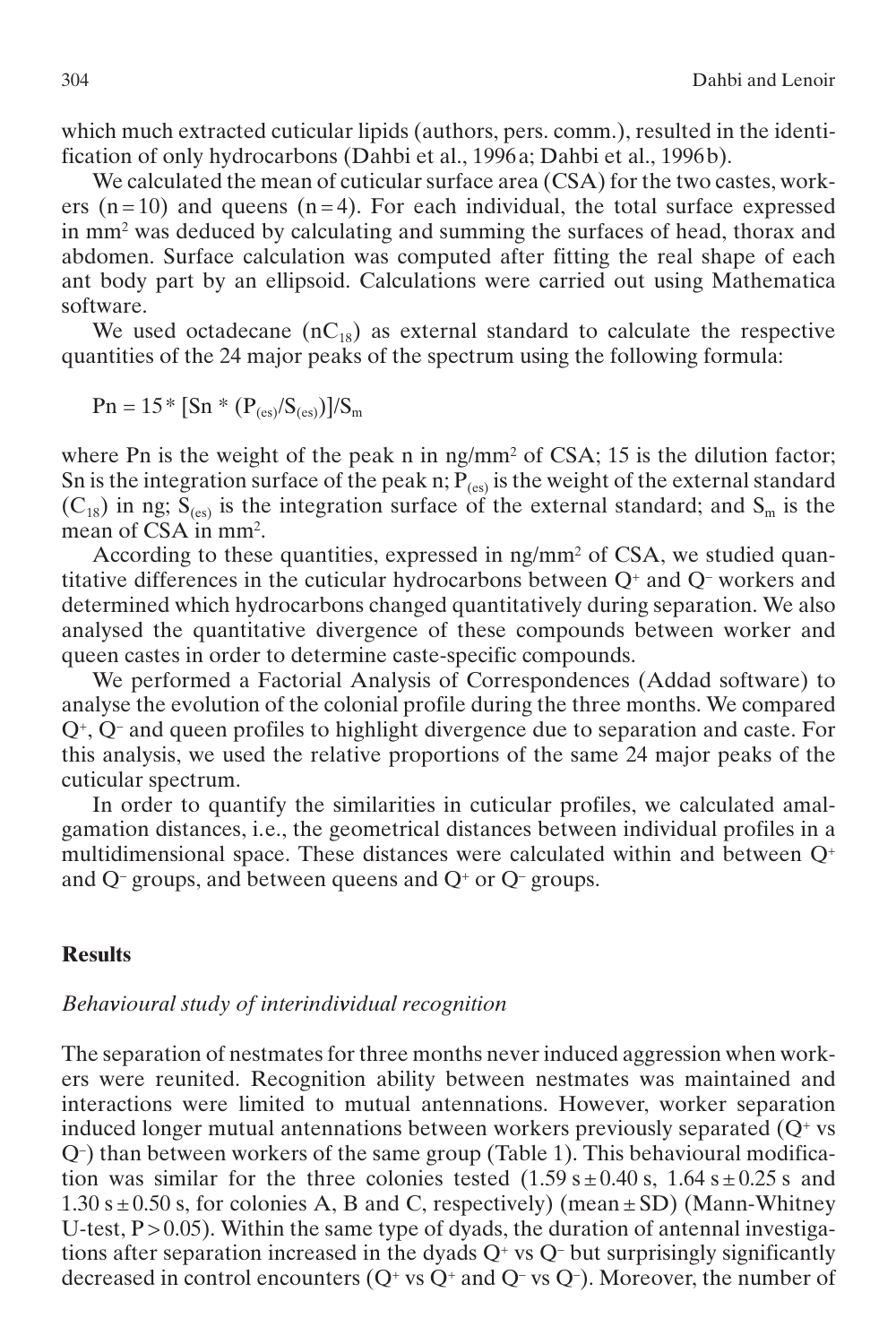which much extracted cuticular lipids (authors, pers. comm.), resulted in the identification of only hydrocarbons (Dahbi et al., 1996a; Dahbi et al., 1996b).

We calculated the mean of cuticular surface area (CSA) for the two castes, workers  $(n=10)$  and queens  $(n=4)$ . For each individual, the total surface expressed in mm2 was deduced by calculating and summing the surfaces of head, thorax and abdomen. Surface calculation was computed after fitting the real shape of each ant body part by an ellipsoid. Calculations were carried out using Mathematica software.

We used octadecane  $(nC_{18})$  as external standard to calculate the respective quantities of the 24 major peaks of the spectrum using the following formula:

 $Pn = 15 * [Sn * (P_{(es)} / S_{(es)})] / S_m$ 

where Pn is the weight of the peak n in ng/mm<sup>2</sup> of CSA; 15 is the dilution factor; Sn is the integration surface of the peak n;  $\dot{P}_{(es)}$  is the weight of the external standard  $(C_{18})$  in ng;  $S_{(es)}$  is the integration surface of the external standard; and  $S_m$  is the mean of CSA in mm2.

According to these quantities, expressed in ng/mm<sup>2</sup> of CSA, we studied quantitative differences in the cuticular hydrocarbons between  $Q^+$  and  $Q^-$  workers and determined which hydrocarbons changed quantitatively during separation. We also analysed the quantitative divergence of these compounds between worker and queen castes in order to determine caste-specific compounds.

We performed a Factorial Analysis of Correspondences (Addad software) to analyse the evolution of the colonial profile during the three months. We compared Q+, Q– and queen profiles to highlight divergence due to separation and caste. For this analysis, we used the relative proportions of the same 24 major peaks of the cuticular spectrum.

In order to quantify the similarities in cuticular profiles, we calculated amalgamation distances, i.e., the geometrical distances between individual profiles in a multidimensional space. These distances were calculated within and between Q+ and  $Q$ – groups, and between queens and  $Q$ <sup>+</sup> or  $Q$ – groups.

# **Results**

# *Behavioural study of interindividual recognition*

The separation of nestmates for three months never induced aggression when workers were reunited. Recognition ability between nestmates was maintained and interactions were limited to mutual antennations. However, worker separation induced longer mutual antennations between workers previously separated  $(Q<sup>+</sup>$  vs Q–) than between workers of the same group (Table 1). This behavioural modification was similar for the three colonies tested  $(1.59 \text{ s} \pm 0.40 \text{ s}, 1.64 \text{ s} \pm 0.25 \text{ s})$  and  $1.30 \text{ s} \pm 0.50 \text{ s}$ , for colonies A, B and C, respectively) (mean  $\pm$  SD) (Mann-Whitney U-test,  $P > 0.05$ ). Within the same type of dyads, the duration of antennal investigations after separation increased in the dyads  $Q<sup>+</sup>$  vs  $Q<sup>-</sup>$  but surprisingly significantly decreased in control encounters  $(Q^+$  vs  $Q^+$  and  $Q^-$  vs  $Q^-$ ). Moreover, the number of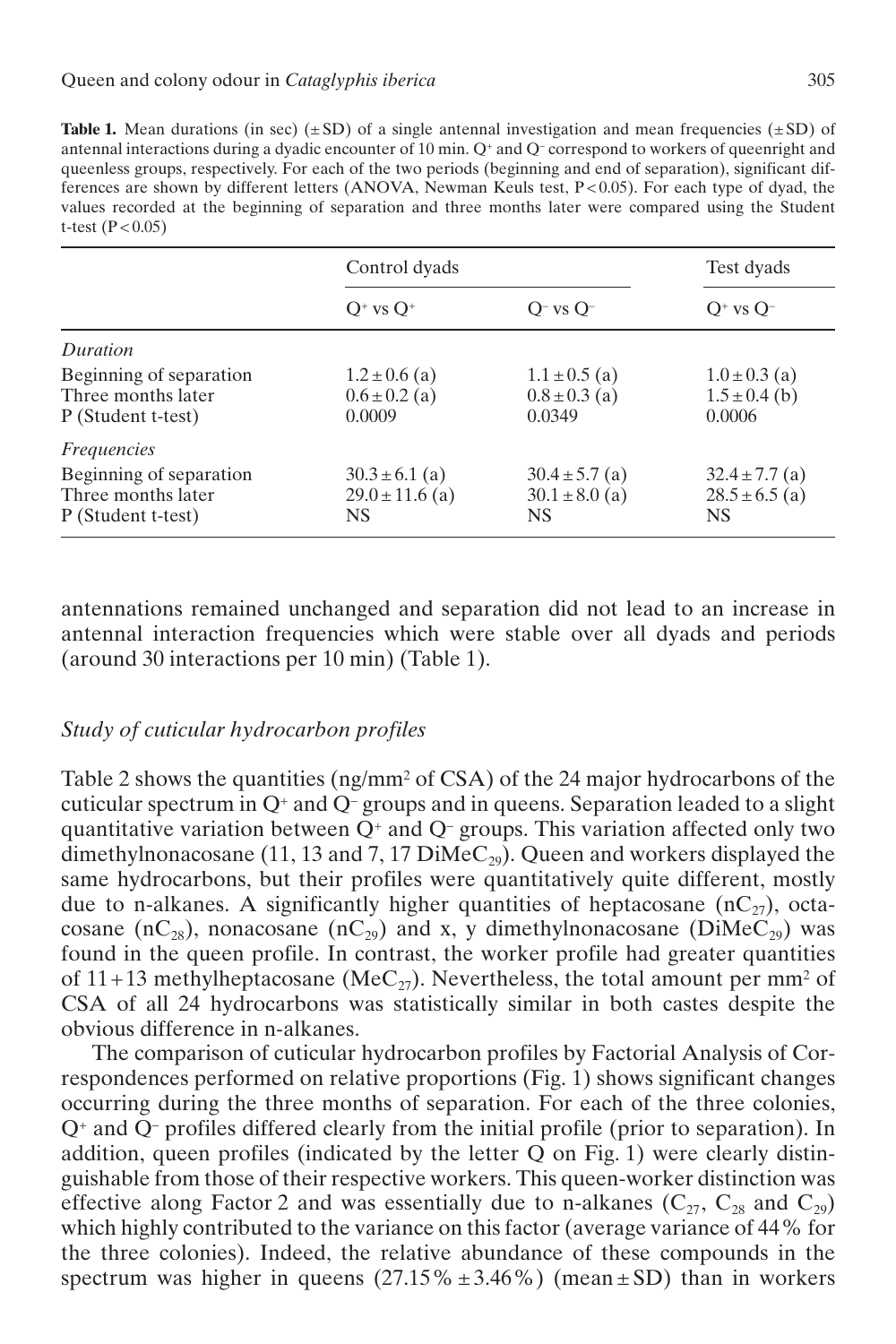**Table 1.** Mean durations (in sec)  $(\pm SD)$  of a single antennal investigation and mean frequencies  $(\pm SD)$  of antennal interactions during a dyadic encounter of 10 min. Q+ and Q– correspond to workers of queenright and queenless groups, respectively. For each of the two periods (beginning and end of separation), significant differences are shown by different letters (ANOVA, Newman Keuls test, P < 0.05). For each type of dyad, the values recorded at the beginning of separation and three months later were compared using the Student t-test  $(P < 0.05)$ 

|                                                                     | Control dyads                                    | Test dyads                                            |                                                       |
|---------------------------------------------------------------------|--------------------------------------------------|-------------------------------------------------------|-------------------------------------------------------|
|                                                                     | $O+vs O+$                                        | $O^-$ vs $O^-$                                        | $O^+$ vs $O^-$                                        |
| Duration                                                            |                                                  |                                                       |                                                       |
| Beginning of separation<br>Three months later<br>P (Student t-test) | $1.2 \pm 0.6$ (a)<br>$0.6 \pm 0.2$ (a)<br>0.0009 | $1.1 \pm 0.5$ (a)<br>$0.8 \pm 0.3$ (a)<br>0.0349      | $1.0 \pm 0.3$ (a)<br>$1.5 \pm 0.4$ (b)<br>0.0006      |
| <i>Frequencies</i>                                                  |                                                  |                                                       |                                                       |
| Beginning of separation<br>Three months later<br>P (Student t-test) | $30.3 \pm 6.1$ (a)<br>$29.0 \pm 11.6$ (a)<br>NS. | $30.4 \pm 5.7$ (a)<br>$30.1 \pm 8.0$ (a)<br><b>NS</b> | $32.4 \pm 7.7$ (a)<br>$28.5 \pm 6.5$ (a)<br><b>NS</b> |

antennations remained unchanged and separation did not lead to an increase in antennal interaction frequencies which were stable over all dyads and periods (around 30 interactions per 10 min) (Table 1).

# *Study of cuticular hydrocarbon profiles*

Table 2 shows the quantities (ng/mm2 of CSA) of the 24 major hydrocarbons of the cuticular spectrum in  $Q^+$  and  $\overline{Q}^-$  groups and in queens. Separation leaded to a slight quantitative variation between  $Q^+$  and  $Q^-$  groups. This variation affected only two dimethylnonacosane (11, 13 and 7, 17 DiMeC<sub>29</sub>). Queen and workers displayed the same hydrocarbons, but their profiles were quantitatively quite different, mostly due to n-alkanes. A significantly higher quantities of heptacosane  $(nC_{27})$ , octacosane (nC<sub>28</sub>), nonacosane (nC<sub>29</sub>) and x, y dimethylnonacosane (DiMeC<sub>29</sub>) was found in the queen profile. In contrast, the worker profile had greater quantities of 11+13 methylheptacosane (MeC<sub>27</sub>). Nevertheless, the total amount per mm<sup>2</sup> of CSA of all 24 hydrocarbons was statistically similar in both castes despite the obvious difference in n-alkanes.

The comparison of cuticular hydrocarbon profiles by Factorial Analysis of Correspondences performed on relative proportions (Fig. 1) shows significant changes occurring during the three months of separation. For each of the three colonies, Q+ and Q– profiles differed clearly from the initial profile (prior to separation). In addition, queen profiles (indicated by the letter Q on Fig. 1) were clearly distinguishable from those of their respective workers. This queen-worker distinction was effective along Factor 2 and was essentially due to n-alkanes  $(C_{27}, C_{28} \text{ and } C_{29})$ which highly contributed to the variance on this factor (average variance of 44% for the three colonies). Indeed, the relative abundance of these compounds in the spectrum was higher in queens  $(27.15\% \pm 3.46\%)$  (mean  $\pm$  SD) than in workers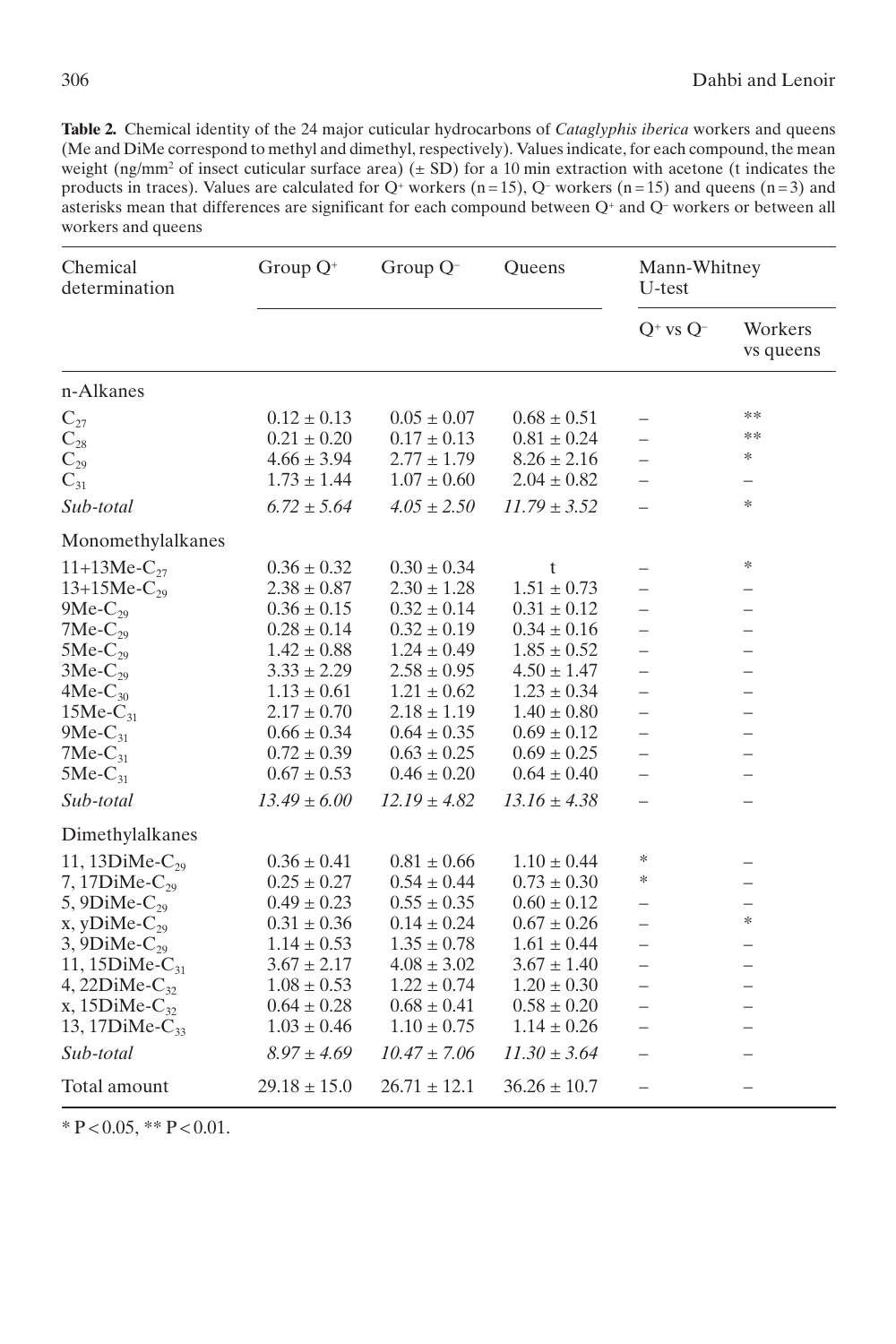**Table 2.** Chemical identity of the 24 major cuticular hydrocarbons of *Cataglyphis iberica* workers and queens (Me and DiMe correspond to methyl and dimethyl, respectively). Values indicate, for each compound, the mean weight (ng/mm<sup>2</sup> of insect cuticular surface area)  $(\pm SD)$  for a 10 min extraction with acetone (t indicates the products in traces). Values are calculated for  $Q^+$  workers (n=15),  $Q^-$  workers (n=15) and queens (n=3) and asterisks mean that differences are significant for each compound between Q<sup>+</sup> and Q<sup>-</sup> workers or between all workers and queens

| Chemical<br>determination | Group $Q^+$      | Group Q <sup>-</sup> | <b>Oueens</b>    | Mann-Whitney<br>U-test   |                          |
|---------------------------|------------------|----------------------|------------------|--------------------------|--------------------------|
|                           |                  |                      |                  | $Q^+$ vs $Q^-$           | Workers<br>vs queens     |
| n-Alkanes                 |                  |                      |                  |                          |                          |
| $C_{27}$                  | $0.12 \pm 0.13$  | $0.05 \pm 0.07$      | $0.68 \pm 0.51$  | $\overline{\phantom{0}}$ | **                       |
| $\mathrm{C}_{28}$         | $0.21 \pm 0.20$  | $0.17 \pm 0.13$      | $0.81 \pm 0.24$  | $\overline{\phantom{0}}$ | **                       |
| $C_{29}$                  | $4.66 \pm 3.94$  | $2.77 \pm 1.79$      | $8.26 \pm 2.16$  | $\equiv$                 | ∗                        |
| $C_{31}$                  | $1.73 \pm 1.44$  | $1.07 \pm 0.60$      | $2.04 \pm 0.82$  | $\overline{\phantom{0}}$ |                          |
| Sub-total                 | $6.72 \pm 5.64$  | $4.05 \pm 2.50$      | $11.79 \pm 3.52$ |                          | $\frac{1}{2}$            |
| Monomethylalkanes         |                  |                      |                  |                          |                          |
| 11+13Me- $C_{27}$         | $0.36 \pm 0.32$  | $0.30 \pm 0.34$      | t                |                          | $\ast$                   |
| $13+15Me-C_{29}$          | $2.38 \pm 0.87$  | $2.30 \pm 1.28$      | $1.51 \pm 0.73$  |                          |                          |
| $9Me-C_{29}$              | $0.36 \pm 0.15$  | $0.32 \pm 0.14$      | $0.31\pm0.12$    | $\overline{\phantom{0}}$ | $\overline{\phantom{0}}$ |
| $7Me-C_{29}$              | $0.28 \pm 0.14$  | $0.32 \pm 0.19$      | $0.34 \pm 0.16$  | $\overline{\phantom{0}}$ | $\overline{\phantom{0}}$ |
| $5Me-C_{29}$              | $1.42 \pm 0.88$  | $1.24 \pm 0.49$      | $1.85 \pm 0.52$  | $\overline{\phantom{0}}$ |                          |
| $3Me-C_{29}$              | $3.33 \pm 2.29$  | $2.58 \pm 0.95$      | $4.50 \pm 1.47$  | $\overline{\phantom{0}}$ |                          |
| $4Me-C_{30}$              | $1.13 \pm 0.61$  | $1.21 \pm 0.62$      | $1.23 \pm 0.34$  | $\overline{\phantom{0}}$ |                          |
| $15Me-C_{31}$             | $2.17 \pm 0.70$  | $2.18 \pm 1.19$      | $1.40 \pm 0.80$  | $\overline{\phantom{0}}$ | $\overline{\phantom{0}}$ |
| $9Me-C_{31}$              | $0.66 \pm 0.34$  | $0.64 \pm 0.35$      | $0.69 \pm 0.12$  | $\overline{\phantom{0}}$ |                          |
| $7Me-C_{31}$              | $0.72 \pm 0.39$  | $0.63 \pm 0.25$      | $0.69 \pm 0.25$  | $\overline{\phantom{0}}$ |                          |
| $5Me-C_{31}$              | $0.67 \pm 0.53$  | $0.46 \pm 0.20$      | $0.64 \pm 0.40$  |                          |                          |
| Sub-total                 | $13.49 \pm 6.00$ | $12.19 \pm 4.82$     | $13.16 \pm 4.38$ | $=$                      |                          |
| Dimethylalkanes           |                  |                      |                  |                          |                          |
| 11, 13DiMe- $C_{29}$      | $0.36 \pm 0.41$  | $0.81 \pm 0.66$      | $1.10 \pm 0.44$  | ∗                        |                          |
| 7, 17 $D$ iMe- $C_{20}$   | $0.25 \pm 0.27$  | $0.54 \pm 0.44$      | $0.73 \pm 0.30$  | ∗                        |                          |
| 5, 9DiMe- $C_{20}$        | $0.49 \pm 0.23$  | $0.55 \pm 0.35$      | $0.60 \pm 0.12$  | —                        |                          |
| $x, yDiMe-C_{29}$         | $0.31 \pm 0.36$  | $0.14 \pm 0.24$      | $0.67 \pm 0.26$  | $\overline{\phantom{0}}$ | ∗                        |
| 3, 9DiMe- $C_{29}$        | $1.14 \pm 0.53$  | $1.35 \pm 0.78$      | $1.61 \pm 0.44$  | -                        | $\overline{\phantom{0}}$ |
| 11, 15 $DiMe-C_{31}$      | $3.67 \pm 2.17$  | $4.08 \pm 3.02$      | $3.67 \pm 1.40$  | $\overline{\phantom{0}}$ | $\overline{\phantom{0}}$ |
| 4, 22 $DiMe-C_{32}$       | $1.08 \pm 0.53$  | $1.22 \pm 0.74$      | $1.20 \pm 0.30$  | $\overline{\phantom{0}}$ |                          |
| x, 15DiMe- $C_{32}$       | $0.64 \pm 0.28$  | $0.68 \pm 0.41$      | $0.58 \pm 0.20$  | $\equiv$                 |                          |
| 13, 17DiMe- $C_{33}$      | $1.03 \pm 0.46$  | $1.10 \pm 0.75$      | $1.14 \pm 0.26$  | $\overline{\phantom{0}}$ | $\overline{\phantom{0}}$ |
| Sub-total                 | $8.97 \pm 4.69$  | $10.47 \pm 7.06$     | $11.30 \pm 3.64$ | -                        | $\overline{\phantom{0}}$ |
| Total amount              | $29.18 \pm 15.0$ | $26.71 \pm 12.1$     | $36.26 \pm 10.7$ | $\overline{\phantom{0}}$ | $\overline{\phantom{0}}$ |

 $*$  P < 0.05,  $*$  P < 0.01.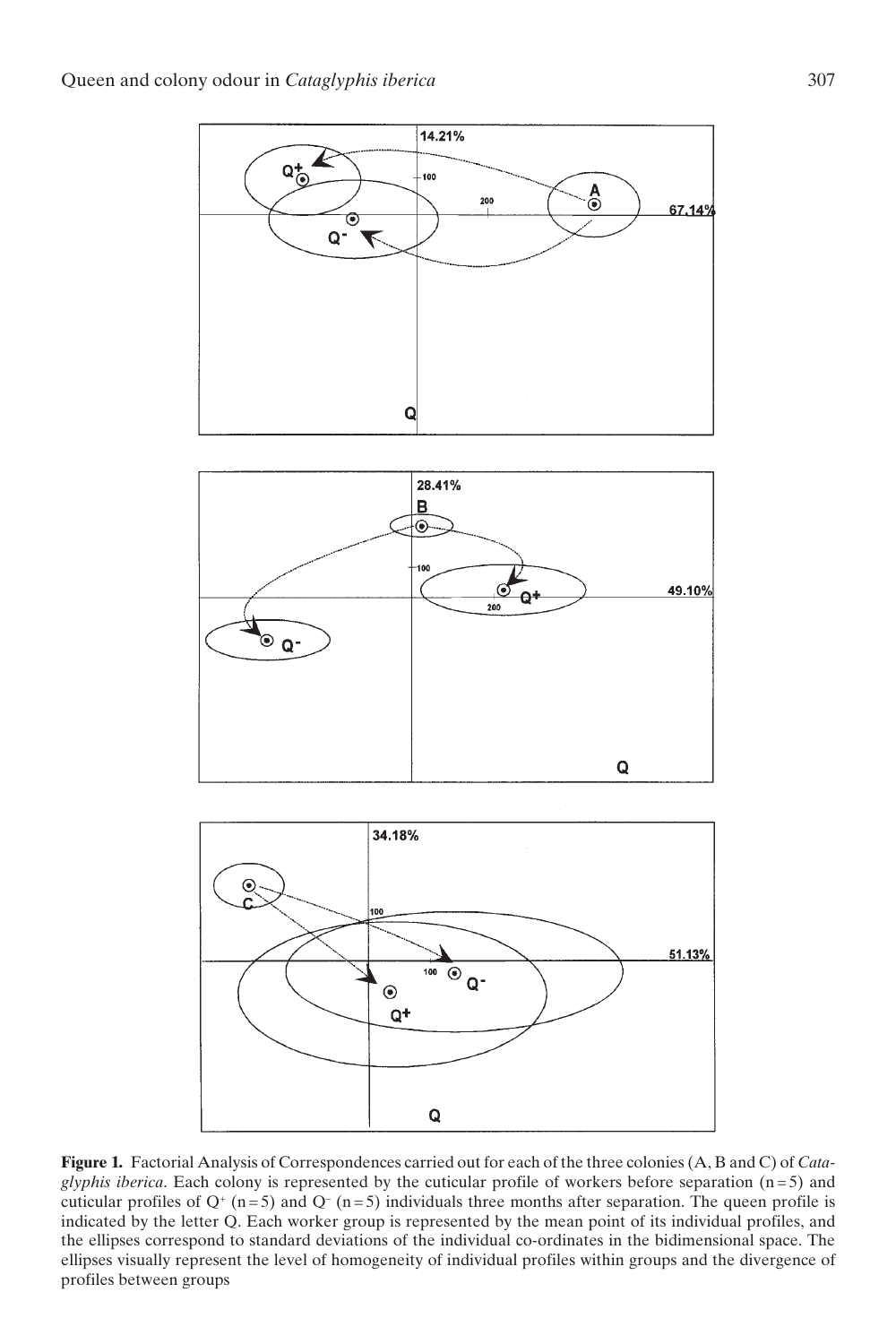





**Figure 1.** Factorial Analysis of Correspondences carried out for each of the three colonies (A, B and C) of *Cataglyphis iberica*. Each colony is represented by the cuticular profile of workers before separation (n = 5) and cuticular profiles of  $Q^+(n=5)$  and  $Q^-(n=5)$  individuals three months after separation. The queen profile is indicated by the letter Q. Each worker group is represented by the mean point of its individual profiles, and the ellipses correspond to standard deviations of the individual co-ordinates in the bidimensional space. The ellipses visually represent the level of homogeneity of individual profiles within groups and the divergence of profiles between groups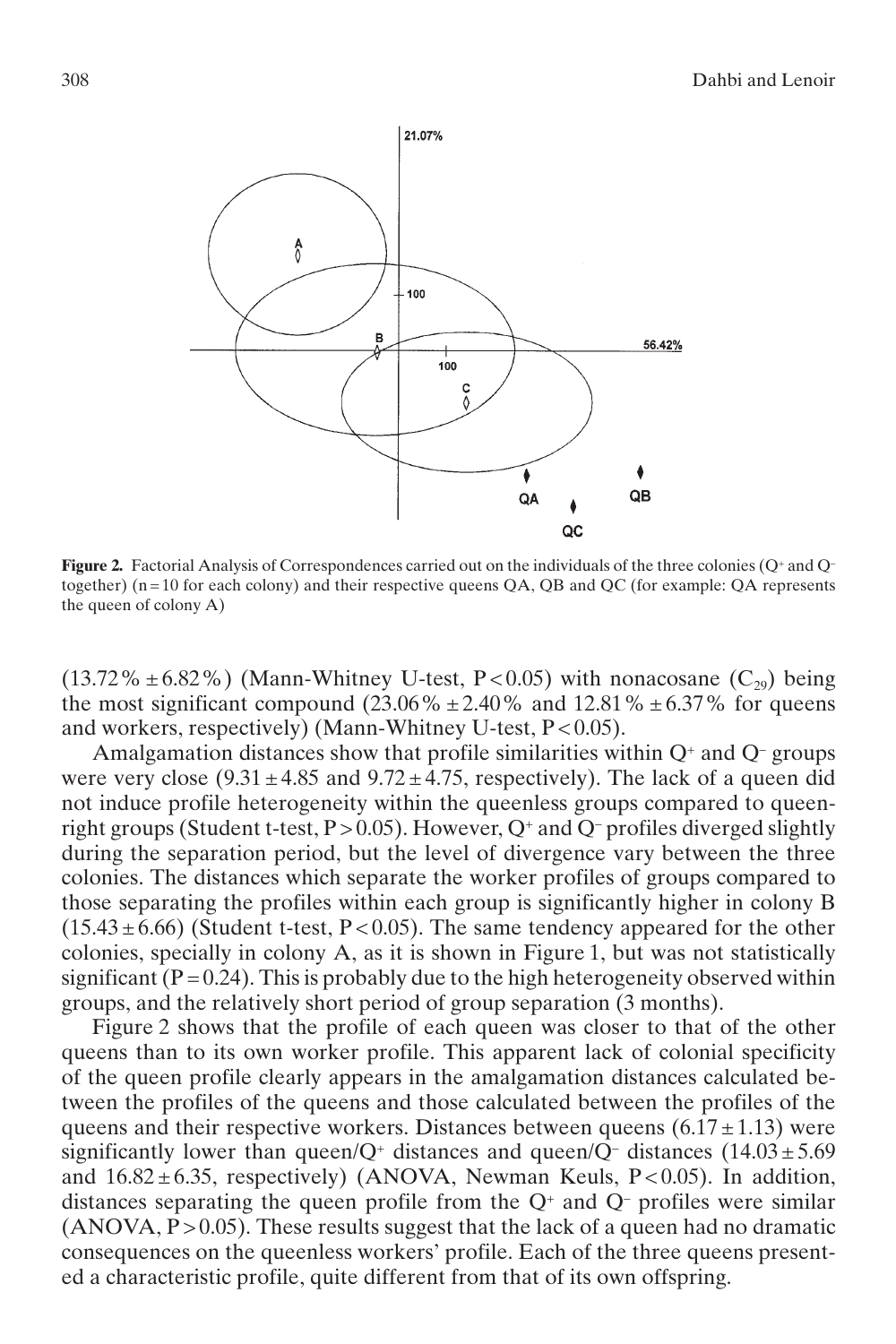

**Figure 2.** Factorial Analysis of Correspondences carried out on the individuals of the three colonies (Q<sup>+</sup> and Q<sup>-</sup> together)  $(n = 10$  for each colony) and their respective queens QA, QB and QC (for example: QA represents the queen of colony A)

 $(13.72\% \pm 6.82\%)$  (Mann-Whitney U-test, P < 0.05) with nonacosane  $(C_{29})$  being the most significant compound  $(23.06\% \pm 2.40\%$  and  $12.81\% \pm 6.37\%$  for queens and workers, respectively) (Mann-Whitney U-test, P < 0.05).

Amalgamation distances show that profile similarities within  $Q^+$  and  $Q^-$  groups were very close  $(9.31 \pm 4.85 \text{ and } 9.72 \pm 4.75 \text{, respectively)}$ . The lack of a queen did not induce profile heterogeneity within the queenless groups compared to queenright groups (Student t-test,  $P > 0.05$ ). However,  $Q^+$  and  $Q^-$  profiles diverged slightly during the separation period, but the level of divergence vary between the three colonies. The distances which separate the worker profiles of groups compared to those separating the profiles within each group is significantly higher in colony B  $(15.43 \pm 6.66)$  (Student t-test, P < 0.05). The same tendency appeared for the other colonies, specially in colony A, as it is shown in Figure 1, but was not statistically significant  $(P = 0.24)$ . This is probably due to the high heterogeneity observed within groups, and the relatively short period of group separation (3 months).

Figure 2 shows that the profile of each queen was closer to that of the other queens than to its own worker profile. This apparent lack of colonial specificity of the queen profile clearly appears in the amalgamation distances calculated between the profiles of the queens and those calculated between the profiles of the queens and their respective workers. Distances between queens  $(6.17 \pm 1.13)$  were significantly lower than queen/Q<sup>+</sup> distances and queen/Q<sup>-</sup> distances (14.03  $\pm$  5.69 and  $16.82 \pm 6.35$ , respectively) (ANOVA, Newman Keuls, P<0.05). In addition, distances separating the queen profile from the  $Q^+$  and  $Q^-$  profiles were similar  $(ANOVA, P > 0.05)$ . These results suggest that the lack of a queen had no dramatic consequences on the queenless workers' profile. Each of the three queens presented a characteristic profile, quite different from that of its own offspring.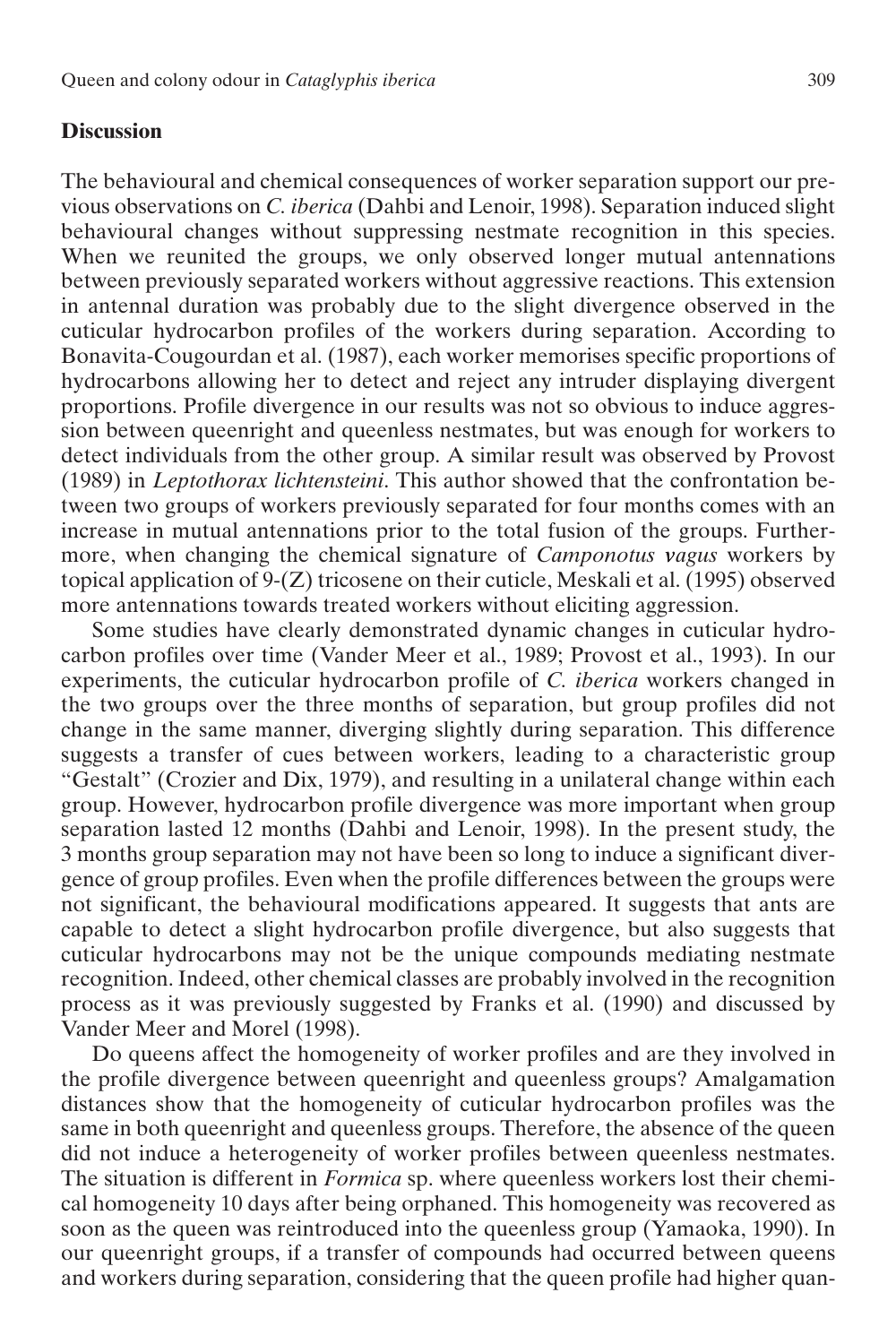# **Discussion**

The behavioural and chemical consequences of worker separation support our previous observations on *C. iberica* (Dahbi and Lenoir, 1998). Separation induced slight behavioural changes without suppressing nestmate recognition in this species. When we reunited the groups, we only observed longer mutual antennations between previously separated workers without aggressive reactions. This extension in antennal duration was probably due to the slight divergence observed in the cuticular hydrocarbon profiles of the workers during separation. According to Bonavita-Cougourdan et al. (1987), each worker memorises specific proportions of hydrocarbons allowing her to detect and reject any intruder displaying divergent proportions. Profile divergence in our results was not so obvious to induce aggression between queenright and queenless nestmates, but was enough for workers to detect individuals from the other group. A similar result was observed by Provost (1989) in *Leptothorax lichtensteini*. This author showed that the confrontation between two groups of workers previously separated for four months comes with an increase in mutual antennations prior to the total fusion of the groups. Furthermore, when changing the chemical signature of *Camponotus vagus* workers by topical application of 9-(Z) tricosene on their cuticle, Meskali et al. (1995) observed more antennations towards treated workers without eliciting aggression.

Some studies have clearly demonstrated dynamic changes in cuticular hydrocarbon profiles over time (Vander Meer et al., 1989; Provost et al., 1993). In our experiments, the cuticular hydrocarbon profile of *C. iberica* workers changed in the two groups over the three months of separation, but group profiles did not change in the same manner, diverging slightly during separation. This difference suggests a transfer of cues between workers, leading to a characteristic group "Gestalt" (Crozier and Dix, 1979), and resulting in a unilateral change within each group. However, hydrocarbon profile divergence was more important when group separation lasted 12 months (Dahbi and Lenoir, 1998). In the present study, the 3 months group separation may not have been so long to induce a significant divergence of group profiles. Even when the profile differences between the groups were not significant, the behavioural modifications appeared. It suggests that ants are capable to detect a slight hydrocarbon profile divergence, but also suggests that cuticular hydrocarbons may not be the unique compounds mediating nestmate recognition. Indeed, other chemical classes are probably involved in the recognition process as it was previously suggested by Franks et al. (1990) and discussed by Vander Meer and Morel (1998).

Do queens affect the homogeneity of worker profiles and are they involved in the profile divergence between queenright and queenless groups? Amalgamation distances show that the homogeneity of cuticular hydrocarbon profiles was the same in both queenright and queenless groups. Therefore, the absence of the queen did not induce a heterogeneity of worker profiles between queenless nestmates. The situation is different in *Formica* sp. where queenless workers lost their chemical homogeneity 10 days after being orphaned. This homogeneity was recovered as soon as the queen was reintroduced into the queenless group (Yamaoka, 1990). In our queenright groups, if a transfer of compounds had occurred between queens and workers during separation, considering that the queen profile had higher quan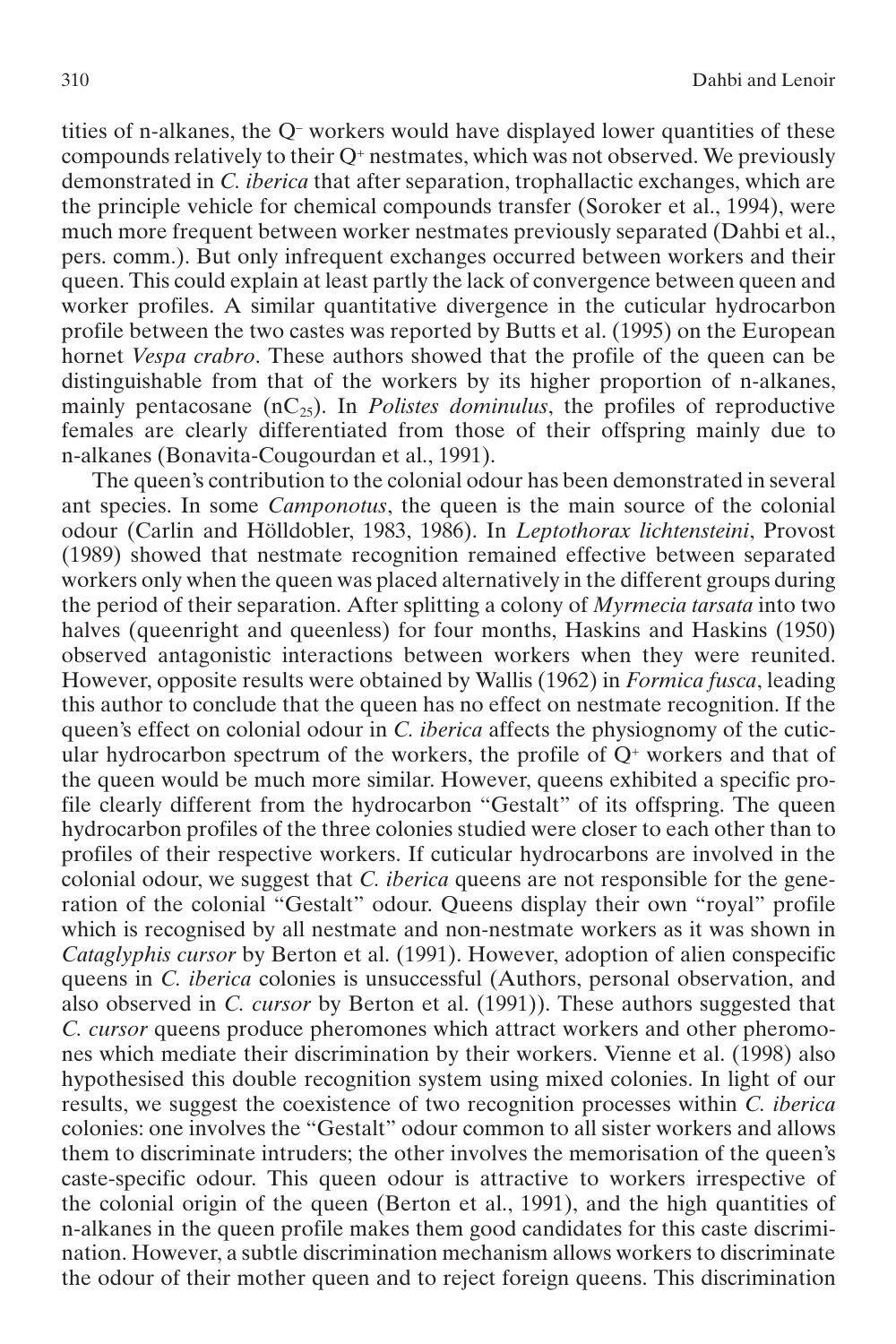tities of n-alkanes, the Q– workers would have displayed lower quantities of these compounds relatively to their  $Q^*$  nestmates, which was not observed. We previously demonstrated in *C. iberica* that after separation, trophallactic exchanges, which are the principle vehicle for chemical compounds transfer (Soroker et al., 1994), were much more frequent between worker nestmates previously separated (Dahbi et al., pers. comm.). But only infrequent exchanges occurred between workers and their queen. This could explain at least partly the lack of convergence between queen and worker profiles. A similar quantitative divergence in the cuticular hydrocarbon profile between the two castes was reported by Butts et al. (1995) on the European hornet *Vespa crabro*. These authors showed that the profile of the queen can be distinguishable from that of the workers by its higher proportion of n-alkanes, mainly pentacosane  $(nC_{25})$ . In *Polistes dominulus*, the profiles of reproductive females are clearly differentiated from those of their offspring mainly due to n-alkanes (Bonavita-Cougourdan et al., 1991).

The queen's contribution to the colonial odour has been demonstrated in several ant species. In some *Camponotus*, the queen is the main source of the colonial odour (Carlin and Hölldobler, 1983, 1986). In *Leptothorax lichtensteini*, Provost (1989) showed that nestmate recognition remained effective between separated workers only when the queen was placed alternatively in the different groups during the period of their separation. After splitting a colony of *Myrmecia tarsata* into two halves (queenright and queenless) for four months, Haskins and Haskins (1950) observed antagonistic interactions between workers when they were reunited. However, opposite results were obtained by Wallis (1962) in *Formica fusca*, leading this author to conclude that the queen has no effect on nestmate recognition. If the queen's effect on colonial odour in *C. iberica* affects the physiognomy of the cuticular hydrocarbon spectrum of the workers, the profile of  $Q^+$  workers and that of the queen would be much more similar. However, queens exhibited a specific profile clearly different from the hydrocarbon "Gestalt" of its offspring. The queen hydrocarbon profiles of the three colonies studied were closer to each other than to profiles of their respective workers. If cuticular hydrocarbons are involved in the colonial odour, we suggest that *C. iberica* queens are not responsible for the generation of the colonial "Gestalt" odour. Queens display their own "royal" profile which is recognised by all nestmate and non-nestmate workers as it was shown in *Cataglyphis cursor* by Berton et al. (1991). However, adoption of alien conspecific queens in *C. iberica* colonies is unsuccessful (Authors, personal observation, and also observed in *C. cursor* by Berton et al. (1991)). These authors suggested that *C. cursor* queens produce pheromones which attract workers and other pheromones which mediate their discrimination by their workers. Vienne et al. (1998) also hypothesised this double recognition system using mixed colonies. In light of our results, we suggest the coexistence of two recognition processes within *C. iberica* colonies: one involves the "Gestalt" odour common to all sister workers and allows them to discriminate intruders; the other involves the memorisation of the queen's caste-specific odour. This queen odour is attractive to workers irrespective of the colonial origin of the queen (Berton et al., 1991), and the high quantities of n-alkanes in the queen profile makes them good candidates for this caste discrimination. However, a subtle discrimination mechanism allows workers to discriminate the odour of their mother queen and to reject foreign queens. This discrimination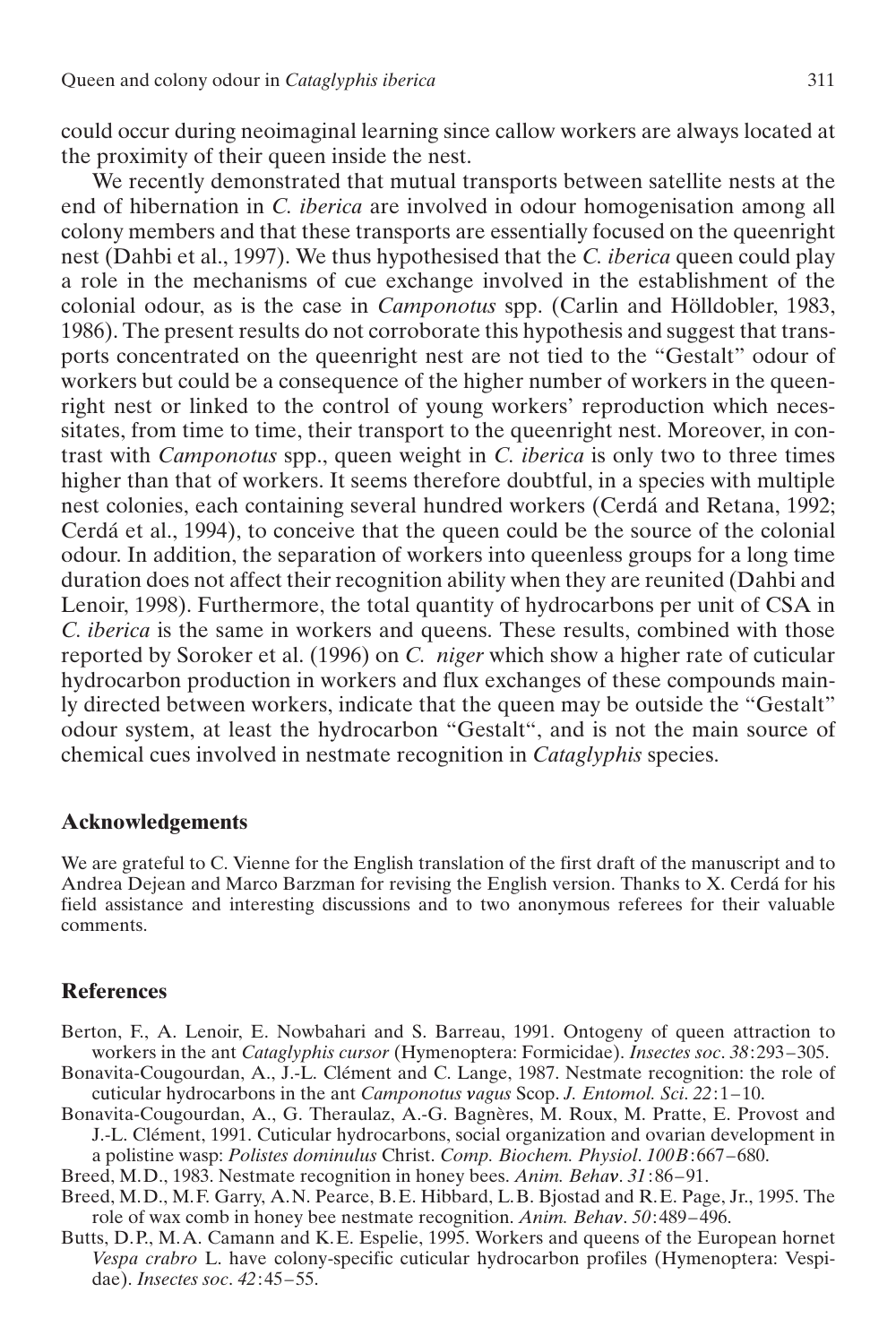could occur during neoimaginal learning since callow workers are always located at the proximity of their queen inside the nest.

We recently demonstrated that mutual transports between satellite nests at the end of hibernation in *C. iberica* are involved in odour homogenisation among all colony members and that these transports are essentially focused on the queenright nest (Dahbi et al., 1997). We thus hypothesised that the *C. iberica* queen could play a role in the mechanisms of cue exchange involved in the establishment of the colonial odour, as is the case in *Camponotus* spp. (Carlin and Hölldobler, 1983, 1986). The present results do not corroborate this hypothesis and suggest that transports concentrated on the queenright nest are not tied to the "Gestalt" odour of workers but could be a consequence of the higher number of workers in the queenright nest or linked to the control of young workers' reproduction which necessitates, from time to time, their transport to the queenright nest. Moreover, in contrast with *Camponotus* spp., queen weight in *C. iberica* is only two to three times higher than that of workers. It seems therefore doubtful, in a species with multiple nest colonies, each containing several hundred workers (Cerdá and Retana, 1992; Cerdá et al., 1994), to conceive that the queen could be the source of the colonial odour. In addition, the separation of workers into queenless groups for a long time duration does not affect their recognition ability when they are reunited (Dahbi and Lenoir, 1998). Furthermore, the total quantity of hydrocarbons per unit of CSA in *C. iberica* is the same in workers and queens. These results, combined with those reported by Soroker et al. (1996) on *C. niger* which show a higher rate of cuticular hydrocarbon production in workers and flux exchanges of these compounds mainly directed between workers, indicate that the queen may be outside the "Gestalt" odour system, at least the hydrocarbon "Gestalt", and is not the main source of chemical cues involved in nestmate recognition in *Cataglyphis* species.

### **Acknowledgements**

We are grateful to C. Vienne for the English translation of the first draft of the manuscript and to Andrea Dejean and Marco Barzman for revising the English version. Thanks to X. Cerdá for his field assistance and interesting discussions and to two anonymous referees for their valuable comments.

#### **References**

- Berton, F., A. Lenoir, E. Nowbahari and S. Barreau, 1991. Ontogeny of queen attraction to workers in the ant *Cataglyphis cursor* (Hymenoptera: Formicidae). *Insectes soc*. *38*:293–305.
- Bonavita-Cougourdan, A., J.-L. Clément and C. Lange, 1987. Nestmate recognition: the role of cuticular hydrocarbons in the ant *Camponotus vagus* Scop. *J. Entomol. Sci*. *22*:1–10.
- Bonavita-Cougourdan, A., G. Theraulaz, A.-G. Bagnères, M. Roux, M. Pratte, E. Provost and J.-L. Clément, 1991. Cuticular hydrocarbons, social organization and ovarian development in a polistine wasp: *Polistes dominulus* Christ. *Comp. Biochem. Physiol*. *100B*:667–680.
- Breed, M.D., 1983. Nestmate recognition in honey bees. *Anim. Behav*. *31*:86–91.
- Breed, M.D., M.F. Garry, A.N. Pearce, B.E. Hibbard, L.B. Bjostad and R.E. Page, Jr., 1995. The role of wax comb in honey bee nestmate recognition. *Anim. Behav*. *50*:489–496.
- Butts, D.P., M.A. Camann and K.E. Espelie, 1995. Workers and queens of the European hornet *Vespa crabro* L. have colony-specific cuticular hydrocarbon profiles (Hymenoptera: Vespidae). *Insectes soc*. *42*:45–55.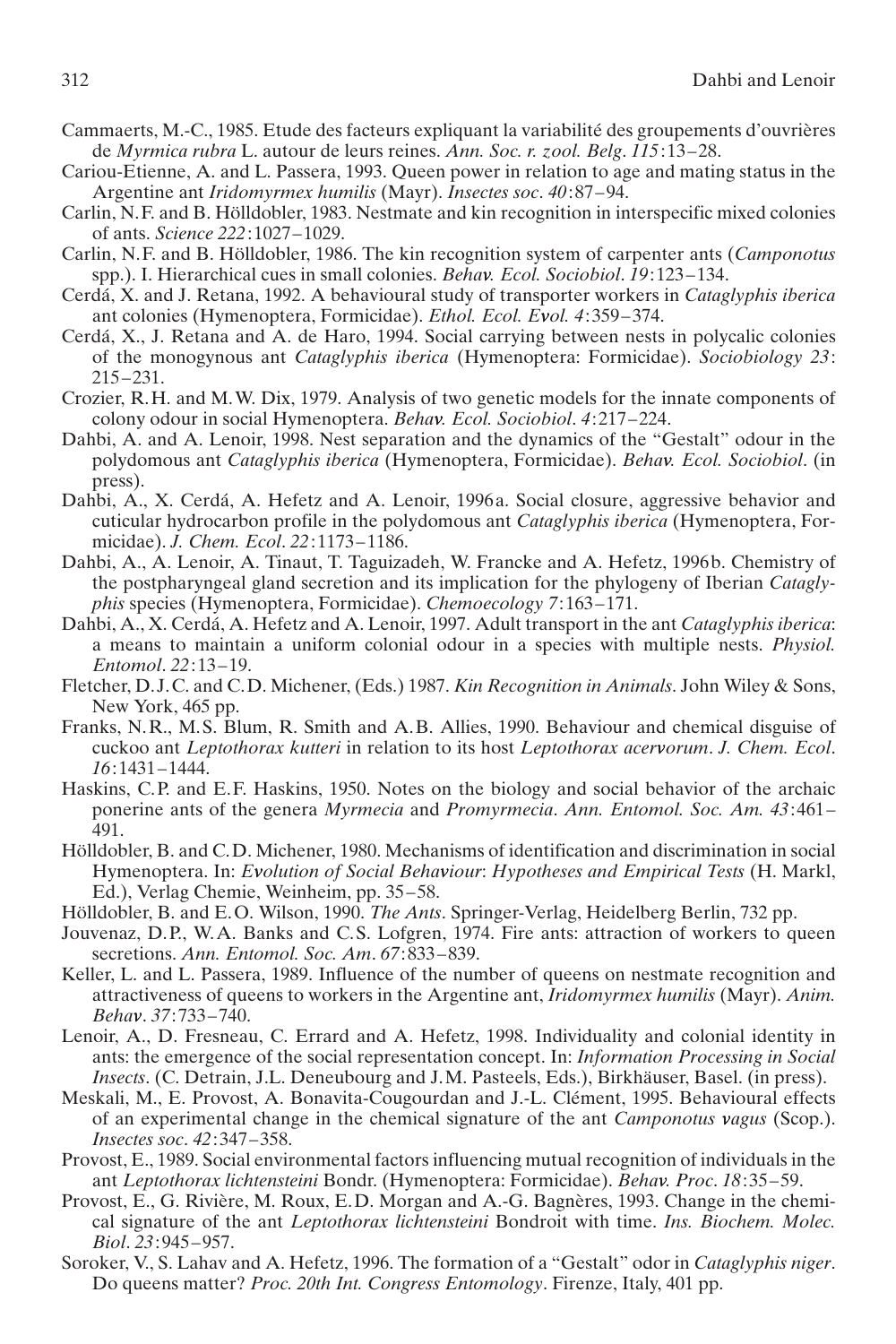- Cammaerts, M.-C., 1985. Etude des facteurs expliquant la variabilité des groupements d'ouvrières de *Myrmica rubra* L. autour de leurs reines. *Ann. Soc. r. zool. Belg*. *115*:13–28.
- Cariou-Etienne, A. and L. Passera, 1993. Queen power in relation to age and mating status in the Argentine ant *Iridomyrmex humilis* (Mayr). *Insectes soc*. *40*:87–94.
- Carlin, N.F. and B. Hölldobler, 1983. Nestmate and kin recognition in interspecific mixed colonies of ants. *Science 222*:1027–1029.
- Carlin, N.F. and B. Hölldobler, 1986. The kin recognition system of carpenter ants (*Camponotus* spp.). I. Hierarchical cues in small colonies. *Behav. Ecol. Sociobiol*. *19*:123–134.
- Cerdá, X. and J. Retana, 1992. A behavioural study of transporter workers in *Cataglyphis iberica* ant colonies (Hymenoptera, Formicidae). *Ethol. Ecol. Evol. 4*:359–374.
- Cerdá, X., J. Retana and A. de Haro, 1994. Social carrying between nests in polycalic colonies of the monogynous ant *Cataglyphis iberica* (Hymenoptera: Formicidae). *Sociobiology 23*: 215–231.
- Crozier, R.H. and M.W. Dix, 1979. Analysis of two genetic models for the innate components of colony odour in social Hymenoptera. *Behav. Ecol. Sociobiol*. *4*:217–224.
- Dahbi, A. and A. Lenoir, 1998. Nest separation and the dynamics of the "Gestalt" odour in the polydomous ant *Cataglyphis iberica* (Hymenoptera, Formicidae). *Behav. Ecol. Sociobiol*. (in press).
- Dahbi, A., X. Cerdá, A. Hefetz and A. Lenoir, 1996a. Social closure, aggressive behavior and cuticular hydrocarbon profile in the polydomous ant *Cataglyphis iberica* (Hymenoptera, Formicidae). *J. Chem. Ecol*. *22*:1173–1186.
- Dahbi, A., A. Lenoir, A. Tinaut, T. Taguizadeh, W. Francke and A. Hefetz, 1996b. Chemistry of the postpharyngeal gland secretion and its implication for the phylogeny of Iberian *Cataglyphis* species (Hymenoptera, Formicidae). *Chemoecology 7*:163–171.
- Dahbi, A., X. Cerdá, A. Hefetz and A. Lenoir, 1997. Adult transport in the ant *Cataglyphis iberica*: a means to maintain a uniform colonial odour in a species with multiple nests. *Physiol. Entomol*. *22*:13–19.
- Fletcher, D.J.C. and C.D. Michener, (Eds.) 1987. *Kin Recognition in Animals*. John Wiley & Sons, New York, 465 pp.
- Franks, N.R., M.S. Blum, R. Smith and A.B. Allies, 1990. Behaviour and chemical disguise of cuckoo ant *Leptothorax kutteri* in relation to its host *Leptothorax acervorum*. *J. Chem. Ecol*. *16*:1431–1444.
- Haskins, C.P. and E.F. Haskins, 1950. Notes on the biology and social behavior of the archaic ponerine ants of the genera *Myrmecia* and *Promyrmecia*. *Ann. Entomol. Soc. Am. 43*:461– 491.
- Hölldobler, B. and C.D. Michener, 1980. Mechanisms of identification and discrimination in social Hymenoptera. In: *Evolution of Social Behaviour*: *Hypotheses and Empirical Tests* (H. Markl, Ed.), Verlag Chemie, Weinheim, pp. 35–58.
- Hölldobler, B. and E.O. Wilson, 1990. *The Ants*. Springer-Verlag, Heidelberg Berlin, 732 pp.
- Jouvenaz, D.P., W.A. Banks and C.S. Lofgren, 1974. Fire ants: attraction of workers to queen secretions. *Ann. Entomol. Soc. Am*. *67*:833–839.
- Keller, L. and L. Passera, 1989. Influence of the number of queens on nestmate recognition and attractiveness of queens to workers in the Argentine ant, *Iridomyrmex humilis* (Mayr). *Anim. Behav*. *37*:733–740.
- Lenoir, A., D. Fresneau, C. Errard and A. Hefetz, 1998. Individuality and colonial identity in ants: the emergence of the social representation concept. In: *Information Processing in Social Insects*. (C. Detrain, J.L. Deneubourg and J.M. Pasteels, Eds.), Birkhäuser, Basel. (in press).
- Meskali, M., E. Provost, A. Bonavita-Cougourdan and J.-L. Clément, 1995. Behavioural effects of an experimental change in the chemical signature of the ant *Camponotus vagus* (Scop.). *Insectes soc*. *42*:347–358.
- Provost, E., 1989. Social environmental factors influencing mutual recognition of individuals in the ant *Leptothorax lichtensteini* Bondr. (Hymenoptera: Formicidae). *Behav. Proc*. *18*:35–59.
- Provost, E., G. Rivière, M. Roux, E.D. Morgan and A.-G. Bagnères, 1993. Change in the chemical signature of the ant *Leptothorax lichtensteini* Bondroit with time. *Ins. Biochem. Molec. Biol*. *23*:945–957.
- Soroker, V., S. Lahav and A. Hefetz, 1996. The formation of a "Gestalt" odor in *Cataglyphis niger*. Do queens matter? *Proc. 20th Int. Congress Entomology*. Firenze, Italy, 401 pp.